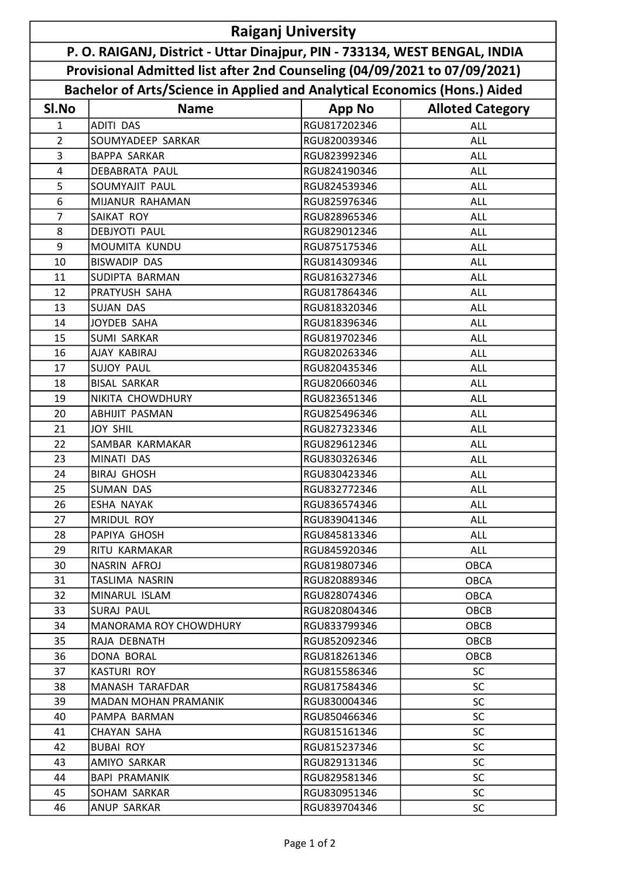| <b>Raiganj University</b><br>P. O. RAIGANJ, District - Uttar Dinajpur, PIN - 733134, WEST BENGAL, INDIA<br>Provisional Admitted list after 2nd Counseling (04/09/2021 to 07/09/2021) |                                          |                              |                         |  |  |       |                                                                            |  |  |
|--------------------------------------------------------------------------------------------------------------------------------------------------------------------------------------|------------------------------------------|------------------------------|-------------------------|--|--|-------|----------------------------------------------------------------------------|--|--|
|                                                                                                                                                                                      |                                          |                              |                         |  |  |       | Bachelor of Arts/Science in Applied and Analytical Economics (Hons.) Aided |  |  |
|                                                                                                                                                                                      |                                          |                              |                         |  |  | SI.No | <b>Name</b>                                                                |  |  |
|                                                                                                                                                                                      |                                          | <b>App No</b>                | <b>Alloted Category</b> |  |  |       |                                                                            |  |  |
| $\mathbf{1}$                                                                                                                                                                         | <b>ADITI DAS</b>                         | RGU817202346<br>RGU820039346 | <b>ALL</b>              |  |  |       |                                                                            |  |  |
| $\overline{2}$                                                                                                                                                                       | SOUMYADEEP SARKAR<br><b>BAPPA SARKAR</b> | RGU823992346                 | <b>ALL</b>              |  |  |       |                                                                            |  |  |
| 3<br>4                                                                                                                                                                               | <b>DEBABRATA PAUL</b>                    | RGU824190346                 | ALL<br><b>ALL</b>       |  |  |       |                                                                            |  |  |
| 5                                                                                                                                                                                    | SOUMYAJIT PAUL                           | RGU824539346                 |                         |  |  |       |                                                                            |  |  |
| 6                                                                                                                                                                                    | MIJANUR RAHAMAN                          | RGU825976346                 | ALL<br><b>ALL</b>       |  |  |       |                                                                            |  |  |
| $\overline{7}$                                                                                                                                                                       | SAIKAT ROY                               | RGU828965346                 | <b>ALL</b>              |  |  |       |                                                                            |  |  |
| 8                                                                                                                                                                                    | <b>DEBJYOTI PAUL</b>                     | RGU829012346                 | <b>ALL</b>              |  |  |       |                                                                            |  |  |
| 9                                                                                                                                                                                    | MOUMITA KUNDU                            | RGU875175346                 | ALL                     |  |  |       |                                                                            |  |  |
| 10                                                                                                                                                                                   | <b>BISWADIP DAS</b>                      | RGU814309346                 | ALL                     |  |  |       |                                                                            |  |  |
| 11                                                                                                                                                                                   | SUDIPTA BARMAN                           | RGU816327346                 | <b>ALL</b>              |  |  |       |                                                                            |  |  |
| 12                                                                                                                                                                                   | PRATYUSH SAHA                            | RGU817864346                 | ALL                     |  |  |       |                                                                            |  |  |
| 13                                                                                                                                                                                   | <b>SUJAN DAS</b>                         | RGU818320346                 | ALL                     |  |  |       |                                                                            |  |  |
| 14                                                                                                                                                                                   | <b>JOYDEB SAHA</b>                       | RGU818396346                 | <b>ALL</b>              |  |  |       |                                                                            |  |  |
| 15                                                                                                                                                                                   | <b>SUMI SARKAR</b>                       | RGU819702346                 | ALL                     |  |  |       |                                                                            |  |  |
| 16                                                                                                                                                                                   | AJAY KABIRAJ                             | RGU820263346                 | <b>ALL</b>              |  |  |       |                                                                            |  |  |
| 17                                                                                                                                                                                   | <b>SUJOY PAUL</b>                        | RGU820435346                 | <b>ALL</b>              |  |  |       |                                                                            |  |  |
| 18                                                                                                                                                                                   | <b>BISAL SARKAR</b>                      | RGU820660346                 | <b>ALL</b>              |  |  |       |                                                                            |  |  |
| 19                                                                                                                                                                                   | NIKITA CHOWDHURY                         | RGU823651346                 | <b>ALL</b>              |  |  |       |                                                                            |  |  |
| 20                                                                                                                                                                                   | <b>ABHIJIT PASMAN</b>                    | RGU825496346                 | <b>ALL</b>              |  |  |       |                                                                            |  |  |
| 21                                                                                                                                                                                   | <b>JOY SHIL</b>                          | RGU827323346                 | <b>ALL</b>              |  |  |       |                                                                            |  |  |
| 22                                                                                                                                                                                   | SAMBAR KARMAKAR                          | RGU829612346                 | <b>ALL</b>              |  |  |       |                                                                            |  |  |
| 23                                                                                                                                                                                   | MINATI DAS                               | RGU830326346                 | <b>ALL</b>              |  |  |       |                                                                            |  |  |
| 24                                                                                                                                                                                   | <b>BIRAJ GHOSH</b>                       | RGU830423346                 | ALL                     |  |  |       |                                                                            |  |  |
| 25                                                                                                                                                                                   | <b>SUMAN DAS</b>                         | RGU832772346                 | ALL                     |  |  |       |                                                                            |  |  |
| 26                                                                                                                                                                                   | ESHA NAYAK                               | RGU836574346                 | <b>ALL</b>              |  |  |       |                                                                            |  |  |
| 27                                                                                                                                                                                   | MRIDUL ROY                               | RGU839041346                 | ALL                     |  |  |       |                                                                            |  |  |
| 28                                                                                                                                                                                   | PAPIYA GHOSH                             | RGU845813346                 | ALL                     |  |  |       |                                                                            |  |  |
| 29                                                                                                                                                                                   | RITU KARMAKAR                            | RGU845920346                 | ALL                     |  |  |       |                                                                            |  |  |
| 30                                                                                                                                                                                   | NASRIN AFROJ                             | RGU819807346                 | OBCA                    |  |  |       |                                                                            |  |  |
| 31                                                                                                                                                                                   | TASLIMA NASRIN                           | RGU820889346                 | <b>OBCA</b>             |  |  |       |                                                                            |  |  |
| 32                                                                                                                                                                                   | MINARUL ISLAM                            | RGU828074346                 | <b>OBCA</b>             |  |  |       |                                                                            |  |  |
| 33                                                                                                                                                                                   | <b>SURAJ PAUL</b>                        | RGU820804346                 | OBCB                    |  |  |       |                                                                            |  |  |
| 34                                                                                                                                                                                   | <b>MANORAMA ROY CHOWDHURY</b>            | RGU833799346                 | OBCB                    |  |  |       |                                                                            |  |  |
| 35                                                                                                                                                                                   | RAJA DEBNATH                             | RGU852092346                 | OBCB                    |  |  |       |                                                                            |  |  |
| 36                                                                                                                                                                                   | DONA BORAL                               | RGU818261346                 | OBCB                    |  |  |       |                                                                            |  |  |
| 37                                                                                                                                                                                   | <b>KASTURI ROY</b>                       | RGU815586346                 | <b>SC</b>               |  |  |       |                                                                            |  |  |
| 38                                                                                                                                                                                   | MANASH TARAFDAR                          | RGU817584346                 | <b>SC</b>               |  |  |       |                                                                            |  |  |
| 39                                                                                                                                                                                   | <b>MADAN MOHAN PRAMANIK</b>              | RGU830004346                 | <b>SC</b>               |  |  |       |                                                                            |  |  |
| 40                                                                                                                                                                                   | PAMPA BARMAN                             | RGU850466346                 | <b>SC</b>               |  |  |       |                                                                            |  |  |
| 41                                                                                                                                                                                   | CHAYAN SAHA                              | RGU815161346                 | <b>SC</b>               |  |  |       |                                                                            |  |  |
| 42                                                                                                                                                                                   | <b>BUBAI ROY</b>                         | RGU815237346                 | <b>SC</b>               |  |  |       |                                                                            |  |  |
| 43                                                                                                                                                                                   | AMIYO SARKAR                             | RGU829131346                 | <b>SC</b>               |  |  |       |                                                                            |  |  |
| 44                                                                                                                                                                                   | <b>BAPI PRAMANIK</b>                     | RGU829581346                 | <b>SC</b>               |  |  |       |                                                                            |  |  |
| 45                                                                                                                                                                                   | SOHAM SARKAR                             | RGU830951346                 | <b>SC</b>               |  |  |       |                                                                            |  |  |
| 46                                                                                                                                                                                   | ANUP SARKAR                              | RGU839704346                 | <b>SC</b>               |  |  |       |                                                                            |  |  |